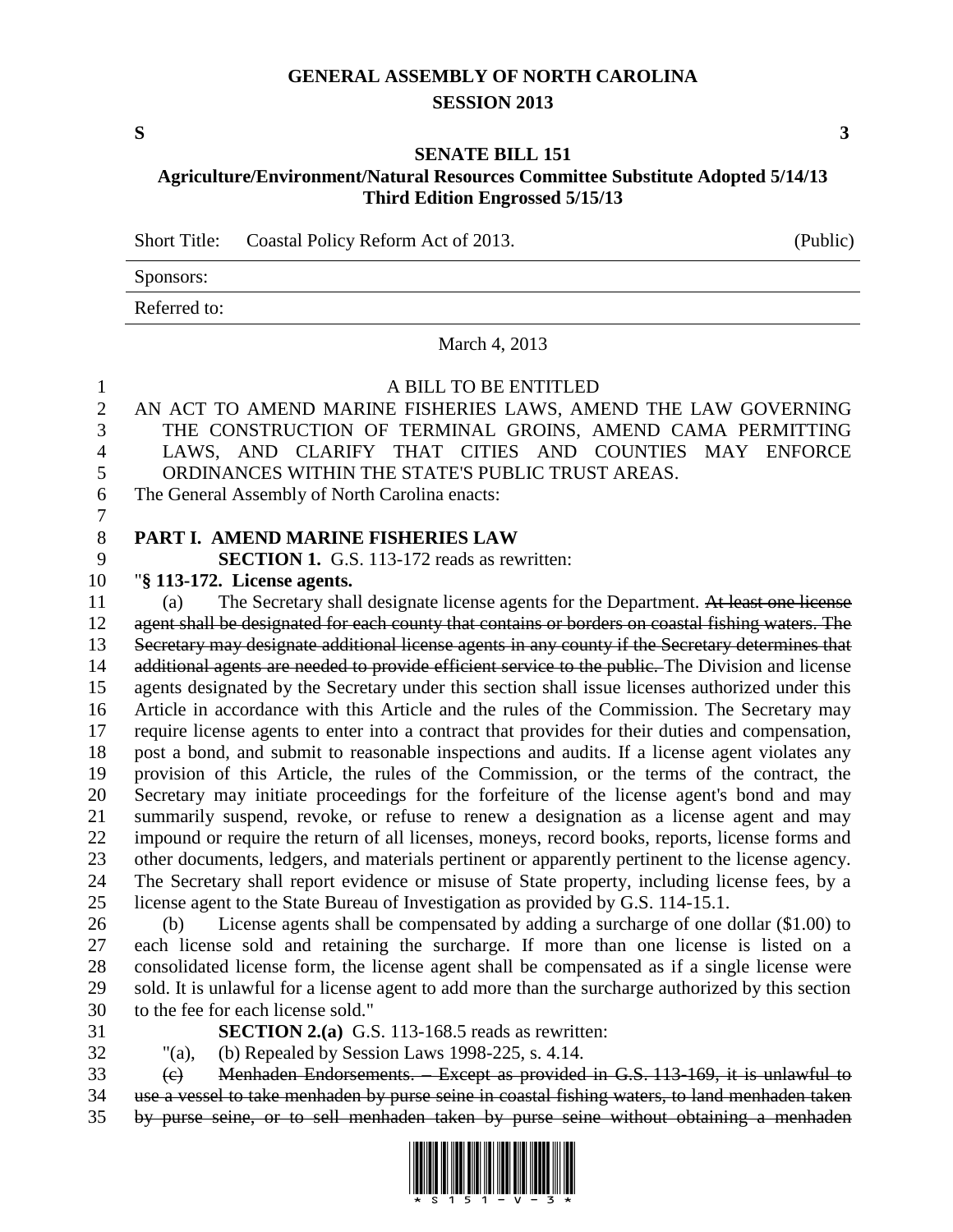## **GENERAL ASSEMBLY OF NORTH CAROLINA SESSION 2013**

**S 3**

## **SENATE BILL 151 Agriculture/Environment/Natural Resources Committee Substitute Adopted 5/14/13 Third Edition Engrossed 5/15/13**

Short Title: Coastal Policy Reform Act of 2013. (Public)

Sponsors:

Referred to:

March 4, 2013

## A BILL TO BE ENTITLED AN ACT TO AMEND MARINE FISHERIES LAWS, AMEND THE LAW GOVERNING THE CONSTRUCTION OF TERMINAL GROINS, AMEND CAMA PERMITTING LAWS, AND CLARIFY THAT CITIES AND COUNTIES MAY ENFORCE ORDINANCES WITHIN THE STATE'S PUBLIC TRUST AREAS. The General Assembly of North Carolina enacts: **PART I. AMEND MARINE FISHERIES LAW SECTION 1.** G.S. 113-172 reads as rewritten: "**§ 113-172. License agents.** (a) The Secretary shall designate license agents for the Department. At least one license agent shall be designated for each county that contains or borders on coastal fishing waters. The Secretary may designate additional license agents in any county if the Secretary determines that 14 additional agents are needed to provide efficient service to the public. The Division and license agents designated by the Secretary under this section shall issue licenses authorized under this Article in accordance with this Article and the rules of the Commission. The Secretary may require license agents to enter into a contract that provides for their duties and compensation, post a bond, and submit to reasonable inspections and audits. If a license agent violates any provision of this Article, the rules of the Commission, or the terms of the contract, the Secretary may initiate proceedings for the forfeiture of the license agent's bond and may summarily suspend, revoke, or refuse to renew a designation as a license agent and may impound or require the return of all licenses, moneys, record books, reports, license forms and other documents, ledgers, and materials pertinent or apparently pertinent to the license agency. The Secretary shall report evidence or misuse of State property, including license fees, by a license agent to the State Bureau of Investigation as provided by G.S. 114-15.1. (b) License agents shall be compensated by adding a surcharge of one dollar (\$1.00) to each license sold and retaining the surcharge. If more than one license is listed on a consolidated license form, the license agent shall be compensated as if a single license were sold. It is unlawful for a license agent to add more than the surcharge authorized by this section to the fee for each license sold." **SECTION 2.(a)** G.S. 113-168.5 reads as rewritten: "(a), (b) Repealed by Session Laws 1998-225, s. 4.14. (c) Menhaden Endorsements. – Except as provided in G.S. 113-169, it is unlawful to use a vessel to take menhaden by purse seine in coastal fishing waters, to land menhaden taken

by purse seine, or to sell menhaden taken by purse seine without obtaining a menhaden

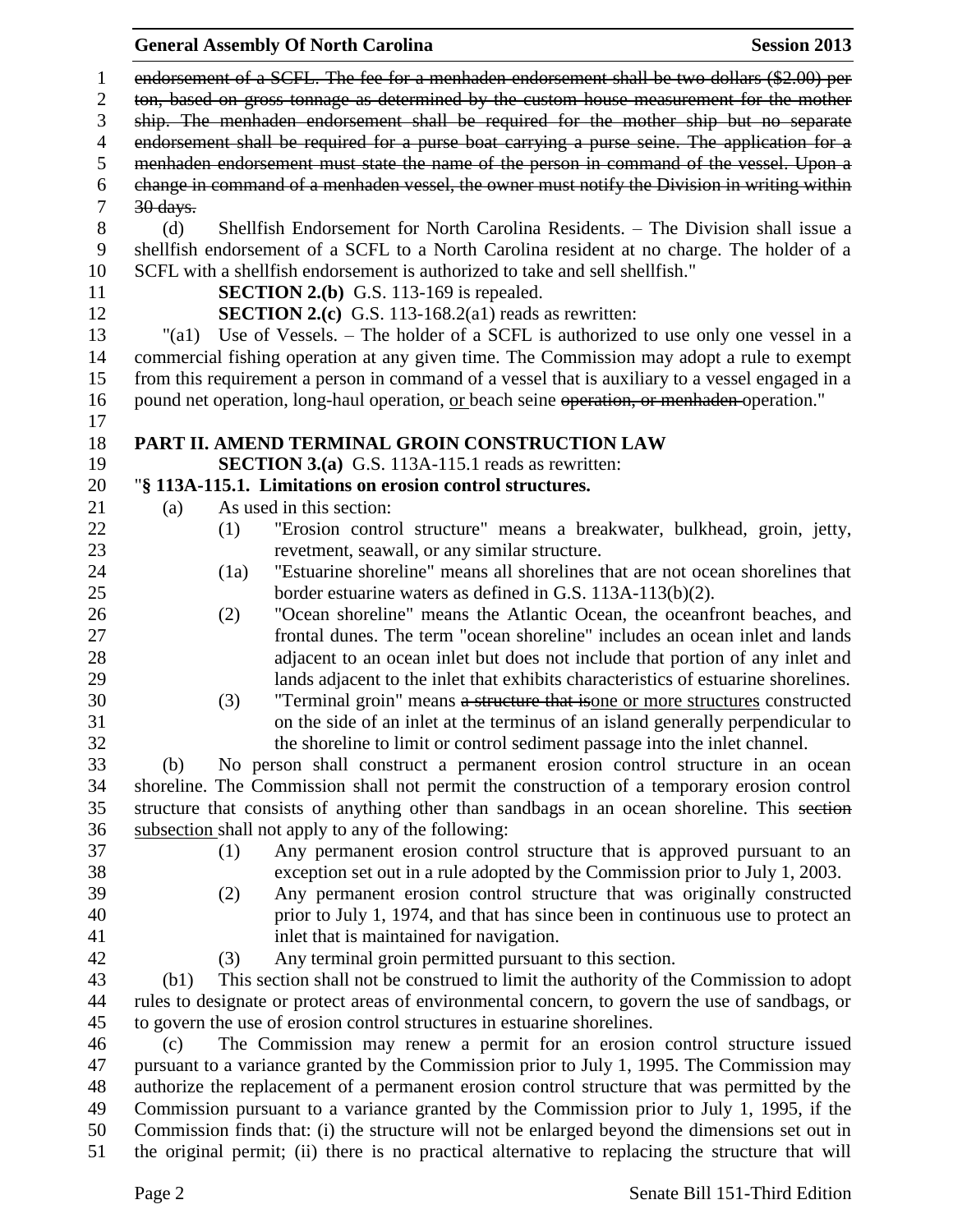|                | <b>General Assembly Of North Carolina</b>                                                        |      |                                                                                                  | <b>Session 2013</b> |  |
|----------------|--------------------------------------------------------------------------------------------------|------|--------------------------------------------------------------------------------------------------|---------------------|--|
| $\mathbf{1}$   | endorsement of a SCFL. The fee for a menhaden endorsement shall be two dollars (\$2.00) per      |      |                                                                                                  |                     |  |
| $\overline{c}$ | ton, based on gross tonnage as determined by the custom house measurement for the mother         |      |                                                                                                  |                     |  |
| 3              | ship. The menhaden endorsement shall be required for the mother ship but no separate             |      |                                                                                                  |                     |  |
| $\overline{4}$ |                                                                                                  |      | endorsement shall be required for a purse boat carrying a purse seine. The application for a     |                     |  |
| 5              |                                                                                                  |      | menhaden endorsement must state the name of the person in command of the vessel. Upon a          |                     |  |
| 6              |                                                                                                  |      | change in command of a menhaden vessel, the owner must notify the Division in writing within     |                     |  |
| $\tau$         | $30$ days.                                                                                       |      |                                                                                                  |                     |  |
| $8\,$          | (d)                                                                                              |      | Shellfish Endorsement for North Carolina Residents. - The Division shall issue a                 |                     |  |
| 9              |                                                                                                  |      | shellfish endorsement of a SCFL to a North Carolina resident at no charge. The holder of a       |                     |  |
| 10             | SCFL with a shellfish endorsement is authorized to take and sell shellfish."                     |      |                                                                                                  |                     |  |
| 11             |                                                                                                  |      | <b>SECTION 2.(b)</b> G.S. 113-169 is repealed.                                                   |                     |  |
| 12             |                                                                                                  |      | <b>SECTION 2.(c)</b> G.S. 113-168.2(a1) reads as rewritten:                                      |                     |  |
| 13             | $"$ (al)                                                                                         |      | Use of Vessels. - The holder of a SCFL is authorized to use only one vessel in a                 |                     |  |
| 14             |                                                                                                  |      | commercial fishing operation at any given time. The Commission may adopt a rule to exempt        |                     |  |
| 15             |                                                                                                  |      | from this requirement a person in command of a vessel that is auxiliary to a vessel engaged in a |                     |  |
| 16             |                                                                                                  |      | pound net operation, long-haul operation, or beach seine operation, or menhaden operation."      |                     |  |
| 17             |                                                                                                  |      |                                                                                                  |                     |  |
| 18             |                                                                                                  |      | PART II. AMEND TERMINAL GROIN CONSTRUCTION LAW                                                   |                     |  |
| 19             |                                                                                                  |      | <b>SECTION 3.(a)</b> G.S. 113A-115.1 reads as rewritten:                                         |                     |  |
| 20             |                                                                                                  |      | "§ 113A-115.1. Limitations on erosion control structures.                                        |                     |  |
| 21             | (a)                                                                                              |      | As used in this section:                                                                         |                     |  |
| 22             |                                                                                                  | (1)  | "Erosion control structure" means a breakwater, bulkhead, groin, jetty,                          |                     |  |
| 23             |                                                                                                  |      | revetment, seawall, or any similar structure.                                                    |                     |  |
| 24             |                                                                                                  | (1a) | "Estuarine shoreline" means all shorelines that are not ocean shorelines that                    |                     |  |
| 25             |                                                                                                  |      | border estuarine waters as defined in G.S. $113A-113(b)(2)$ .                                    |                     |  |
| 26             |                                                                                                  | (2)  | "Ocean shoreline" means the Atlantic Ocean, the oceanfront beaches, and                          |                     |  |
| 27             |                                                                                                  |      | frontal dunes. The term "ocean shoreline" includes an ocean inlet and lands                      |                     |  |
| 28             |                                                                                                  |      | adjacent to an ocean inlet but does not include that portion of any inlet and                    |                     |  |
| 29             |                                                                                                  |      | lands adjacent to the inlet that exhibits characteristics of estuarine shorelines.               |                     |  |
| 30             |                                                                                                  | (3)  | "Terminal groin" means a structure that isone or more structures constructed                     |                     |  |
| 31             |                                                                                                  |      | on the side of an inlet at the terminus of an island generally perpendicular to                  |                     |  |
| 32             |                                                                                                  |      | the shoreline to limit or control sediment passage into the inlet channel.                       |                     |  |
| 33             | (b)                                                                                              |      | No person shall construct a permanent erosion control structure in an ocean                      |                     |  |
| 34             |                                                                                                  |      | shoreline. The Commission shall not permit the construction of a temporary erosion control       |                     |  |
| 35             |                                                                                                  |      | structure that consists of anything other than sandbags in an ocean shoreline. This section      |                     |  |
| 36             |                                                                                                  |      | subsection shall not apply to any of the following:                                              |                     |  |
| 37             |                                                                                                  | (1)  | Any permanent erosion control structure that is approved pursuant to an                          |                     |  |
| 38             |                                                                                                  |      | exception set out in a rule adopted by the Commission prior to July 1, 2003.                     |                     |  |
| 39             |                                                                                                  | (2)  | Any permanent erosion control structure that was originally constructed                          |                     |  |
| 40             |                                                                                                  |      | prior to July 1, 1974, and that has since been in continuous use to protect an                   |                     |  |
| 41             |                                                                                                  |      | inlet that is maintained for navigation.                                                         |                     |  |
| 42             |                                                                                                  | (3)  | Any terminal groin permitted pursuant to this section.                                           |                     |  |
| 43             | (b1)                                                                                             |      | This section shall not be construed to limit the authority of the Commission to adopt            |                     |  |
| 44             |                                                                                                  |      | rules to designate or protect areas of environmental concern, to govern the use of sandbags, or  |                     |  |
| 45             |                                                                                                  |      | to govern the use of erosion control structures in estuarine shorelines.                         |                     |  |
| 46             | (c)                                                                                              |      | The Commission may renew a permit for an erosion control structure issued                        |                     |  |
| 47             |                                                                                                  |      | pursuant to a variance granted by the Commission prior to July 1, 1995. The Commission may       |                     |  |
| 48             | authorize the replacement of a permanent erosion control structure that was permitted by the     |      |                                                                                                  |                     |  |
| 49             | Commission pursuant to a variance granted by the Commission prior to July 1, 1995, if the        |      |                                                                                                  |                     |  |
| 50             | Commission finds that: (i) the structure will not be enlarged beyond the dimensions set out in   |      |                                                                                                  |                     |  |
| 51             | the original permit; (ii) there is no practical alternative to replacing the structure that will |      |                                                                                                  |                     |  |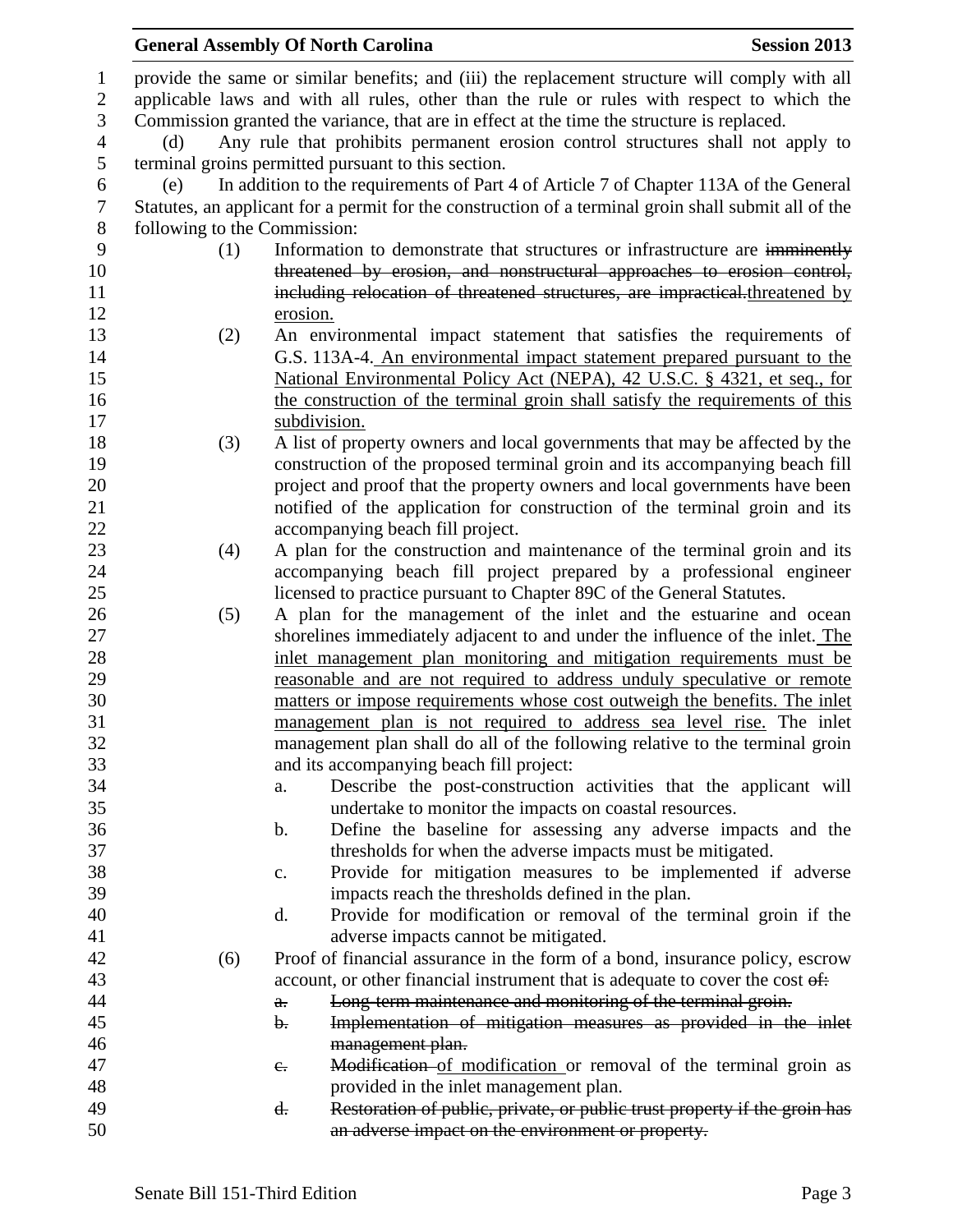|                  |                                                                                            | <b>General Assembly Of North Carolina</b>                                                                                                          | <b>Session 2013</b> |  |  |
|------------------|--------------------------------------------------------------------------------------------|----------------------------------------------------------------------------------------------------------------------------------------------------|---------------------|--|--|
| $\mathbf{1}$     |                                                                                            | provide the same or similar benefits; and (iii) the replacement structure will comply with all                                                     |                     |  |  |
| $\mathbf{2}$     |                                                                                            | applicable laws and with all rules, other than the rule or rules with respect to which the                                                         |                     |  |  |
| 3                | Commission granted the variance, that are in effect at the time the structure is replaced. |                                                                                                                                                    |                     |  |  |
| $\overline{4}$   | Any rule that prohibits permanent erosion control structures shall not apply to<br>(d)     |                                                                                                                                                    |                     |  |  |
| 5                | terminal groins permitted pursuant to this section.                                        |                                                                                                                                                    |                     |  |  |
| 6                | (e)                                                                                        | In addition to the requirements of Part 4 of Article 7 of Chapter 113A of the General                                                              |                     |  |  |
| $\boldsymbol{7}$ |                                                                                            | Statutes, an applicant for a permit for the construction of a terminal groin shall submit all of the                                               |                     |  |  |
| $8\,$            | following to the Commission:                                                               |                                                                                                                                                    |                     |  |  |
| 9                | (1)                                                                                        | Information to demonstrate that structures or infrastructure are imminently                                                                        |                     |  |  |
| 10               |                                                                                            | threatened by erosion, and nonstructural approaches to erosion control,                                                                            |                     |  |  |
| 11               |                                                                                            | including relocation of threatened structures, are impractical threatened by                                                                       |                     |  |  |
| 12               |                                                                                            | erosion.                                                                                                                                           |                     |  |  |
| 13               | (2)                                                                                        | An environmental impact statement that satisfies the requirements of                                                                               |                     |  |  |
| 14               |                                                                                            | G.S. 113A-4. An environmental impact statement prepared pursuant to the                                                                            |                     |  |  |
| 15               |                                                                                            | National Environmental Policy Act (NEPA), 42 U.S.C. § 4321, et seq., for                                                                           |                     |  |  |
| 16               |                                                                                            | the construction of the terminal groin shall satisfy the requirements of this                                                                      |                     |  |  |
| 17               |                                                                                            | subdivision.                                                                                                                                       |                     |  |  |
| 18               | (3)                                                                                        | A list of property owners and local governments that may be affected by the                                                                        |                     |  |  |
| 19               |                                                                                            | construction of the proposed terminal groin and its accompanying beach fill                                                                        |                     |  |  |
| 20               |                                                                                            | project and proof that the property owners and local governments have been                                                                         |                     |  |  |
| 21               |                                                                                            | notified of the application for construction of the terminal groin and its                                                                         |                     |  |  |
| 22               |                                                                                            | accompanying beach fill project.                                                                                                                   |                     |  |  |
| 23               | (4)                                                                                        | A plan for the construction and maintenance of the terminal groin and its                                                                          |                     |  |  |
| 24               |                                                                                            | accompanying beach fill project prepared by a professional engineer                                                                                |                     |  |  |
| 25               |                                                                                            | licensed to practice pursuant to Chapter 89C of the General Statutes.                                                                              |                     |  |  |
| 26               | (5)                                                                                        | A plan for the management of the inlet and the estuarine and ocean                                                                                 |                     |  |  |
| 27               |                                                                                            | shorelines immediately adjacent to and under the influence of the inlet. The                                                                       |                     |  |  |
| 28               |                                                                                            | inlet management plan monitoring and mitigation requirements must be                                                                               |                     |  |  |
| 29<br>30         |                                                                                            | reasonable and are not required to address unduly speculative or remote                                                                            |                     |  |  |
| 31               |                                                                                            | matters or impose requirements whose cost outweigh the benefits. The inlet<br>management plan is not required to address sea level rise. The inlet |                     |  |  |
| 32               |                                                                                            | management plan shall do all of the following relative to the terminal groin                                                                       |                     |  |  |
| 33               |                                                                                            | and its accompanying beach fill project:                                                                                                           |                     |  |  |
| 34               |                                                                                            | Describe the post-construction activities that the applicant will<br>a.                                                                            |                     |  |  |
| 35               |                                                                                            | undertake to monitor the impacts on coastal resources.                                                                                             |                     |  |  |
| 36               |                                                                                            | b.<br>Define the baseline for assessing any adverse impacts and the                                                                                |                     |  |  |
| 37               |                                                                                            | thresholds for when the adverse impacts must be mitigated.                                                                                         |                     |  |  |
| 38               |                                                                                            | Provide for mitigation measures to be implemented if adverse<br>c.                                                                                 |                     |  |  |
| 39               |                                                                                            | impacts reach the thresholds defined in the plan.                                                                                                  |                     |  |  |
| 40               |                                                                                            | d.<br>Provide for modification or removal of the terminal groin if the                                                                             |                     |  |  |
| 41               |                                                                                            | adverse impacts cannot be mitigated.                                                                                                               |                     |  |  |
| 42               | (6)                                                                                        | Proof of financial assurance in the form of a bond, insurance policy, escrow                                                                       |                     |  |  |
| 43               |                                                                                            | account, or other financial instrument that is adequate to cover the cost of:                                                                      |                     |  |  |
| 44               |                                                                                            | Long-term maintenance and monitoring of the terminal groin.<br>$\theta$ .                                                                          |                     |  |  |
| 45               |                                                                                            | Implementation of mitigation measures as provided in the inlet<br>$\mathbf{b}$ .                                                                   |                     |  |  |
| 46               |                                                                                            | management plan.                                                                                                                                   |                     |  |  |
| 47               |                                                                                            | Modification of modification or removal of the terminal groin as<br>$e_{\cdot}$                                                                    |                     |  |  |
| 48               |                                                                                            | provided in the inlet management plan.                                                                                                             |                     |  |  |
| 49               |                                                                                            | Restoration of public, private, or public trust property if the groin has<br>$\mathbf{d}$ .                                                        |                     |  |  |
| 50               |                                                                                            | an adverse impact on the environment or property.                                                                                                  |                     |  |  |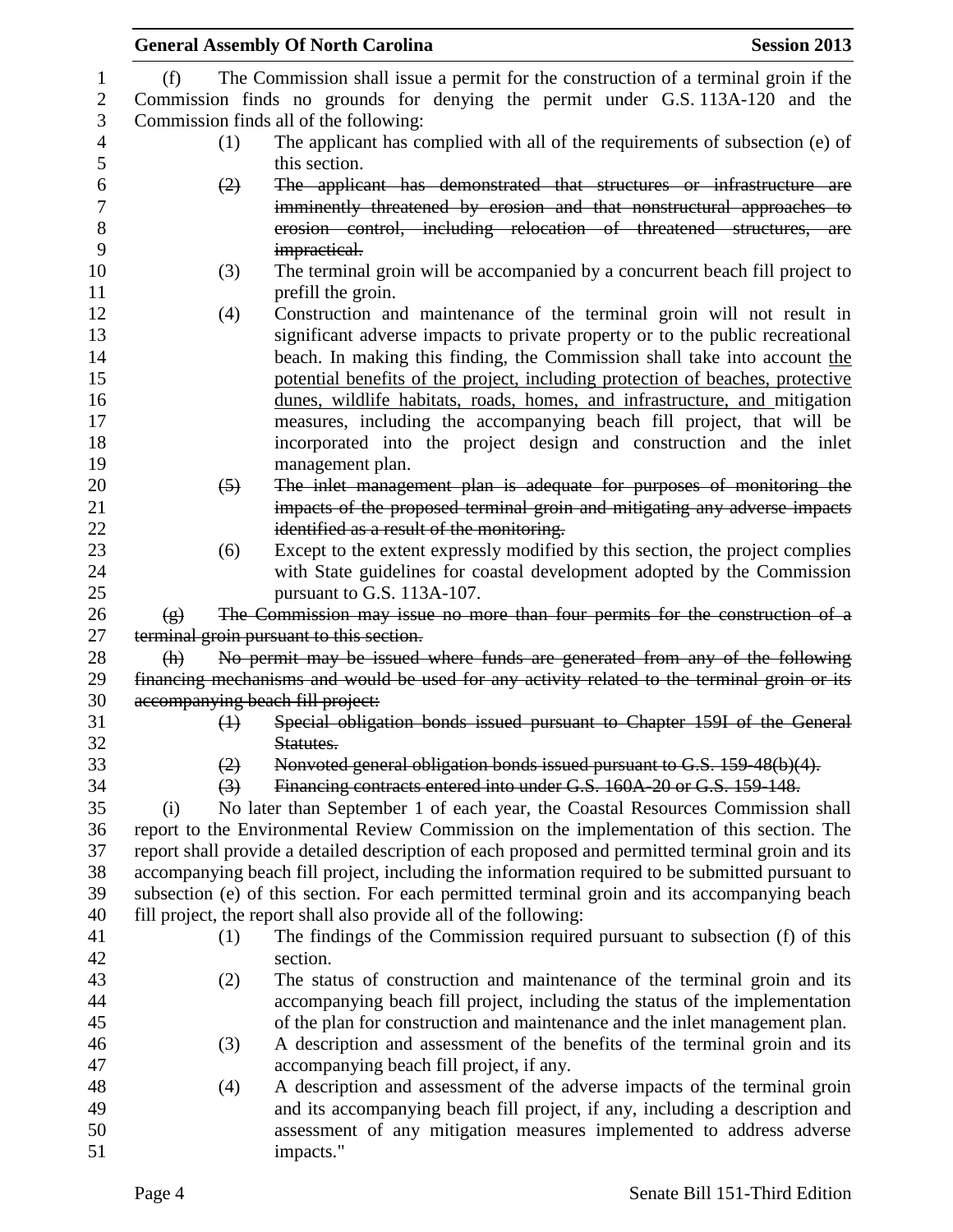|                            | <b>General Assembly Of North Carolina</b><br><b>Session 2013</b>                                                                                                                                |
|----------------------------|-------------------------------------------------------------------------------------------------------------------------------------------------------------------------------------------------|
| (f)                        | The Commission shall issue a permit for the construction of a terminal groin if the                                                                                                             |
|                            | Commission finds no grounds for denying the permit under G.S. 113A-120 and the                                                                                                                  |
|                            | Commission finds all of the following:                                                                                                                                                          |
| (1)                        | The applicant has complied with all of the requirements of subsection (e) of                                                                                                                    |
|                            | this section.                                                                                                                                                                                   |
| (2)                        | The applicant has demonstrated that structures or infrastructure are                                                                                                                            |
|                            | imminently threatened by erosion and that nonstructural approaches to                                                                                                                           |
|                            | erosion control, including relocation of threatened structures, are                                                                                                                             |
|                            | impractical.                                                                                                                                                                                    |
| (3)                        | The terminal groin will be accompanied by a concurrent beach fill project to                                                                                                                    |
|                            | prefill the groin.                                                                                                                                                                              |
| (4)                        | Construction and maintenance of the terminal groin will not result in                                                                                                                           |
|                            | significant adverse impacts to private property or to the public recreational                                                                                                                   |
|                            | beach. In making this finding, the Commission shall take into account the                                                                                                                       |
|                            | potential benefits of the project, including protection of beaches, protective                                                                                                                  |
|                            | dunes, wildlife habitats, roads, homes, and infrastructure, and mitigation                                                                                                                      |
|                            | measures, including the accompanying beach fill project, that will be                                                                                                                           |
|                            | incorporated into the project design and construction and the inlet                                                                                                                             |
|                            | management plan.                                                                                                                                                                                |
| $\left(5\right)$           | The inlet management plan is adequate for purposes of monitoring the                                                                                                                            |
|                            | impacts of the proposed terminal groin and mitigating any adverse impacts                                                                                                                       |
|                            | identified as a result of the monitoring.                                                                                                                                                       |
| (6)                        | Except to the extent expressly modified by this section, the project complies                                                                                                                   |
|                            | with State guidelines for coastal development adopted by the Commission                                                                                                                         |
|                            | pursuant to G.S. 113A-107.                                                                                                                                                                      |
| $\left( g\right)$          | The Commission may issue no more than four permits for the construction of a                                                                                                                    |
|                            | terminal groin pursuant to this section.                                                                                                                                                        |
| $\left( \mathrm{h}\right)$ | No permit may be issued where funds are generated from any of the following                                                                                                                     |
|                            | financing mechanisms and would be used for any activity related to the terminal groin or its                                                                                                    |
|                            | accompanying beach fill project:<br>Special obligation bonds issued pursuant to Chapter 159I of the General                                                                                     |
| $\bigoplus$                |                                                                                                                                                                                                 |
|                            | Statutes.                                                                                                                                                                                       |
| (2)                        | Nonvoted general obligation bonds issued pursuant to G.S. 159-48(b)(4).                                                                                                                         |
| $\left(3\right)$           | Financing contracts entered into under G.S. 160A-20 or G.S. 159-148.                                                                                                                            |
| (i)                        | No later than September 1 of each year, the Coastal Resources Commission shall                                                                                                                  |
|                            | report to the Environmental Review Commission on the implementation of this section. The<br>report shall provide a detailed description of each proposed and permitted terminal groin and its   |
|                            |                                                                                                                                                                                                 |
|                            | accompanying beach fill project, including the information required to be submitted pursuant to<br>subsection (e) of this section. For each permitted terminal groin and its accompanying beach |
|                            | fill project, the report shall also provide all of the following:                                                                                                                               |
|                            |                                                                                                                                                                                                 |
| (1)                        | The findings of the Commission required pursuant to subsection (f) of this<br>section.                                                                                                          |
|                            |                                                                                                                                                                                                 |
| (2)                        | The status of construction and maintenance of the terminal groin and its                                                                                                                        |
|                            | accompanying beach fill project, including the status of the implementation                                                                                                                     |
|                            | of the plan for construction and maintenance and the inlet management plan.                                                                                                                     |
| (3)                        | A description and assessment of the benefits of the terminal groin and its                                                                                                                      |
|                            | accompanying beach fill project, if any.                                                                                                                                                        |
| (4)                        | A description and assessment of the adverse impacts of the terminal groin                                                                                                                       |
|                            | and its accompanying beach fill project, if any, including a description and<br>assessment of any mitigation measures implemented to address adverse                                            |
|                            | impacts."                                                                                                                                                                                       |
|                            |                                                                                                                                                                                                 |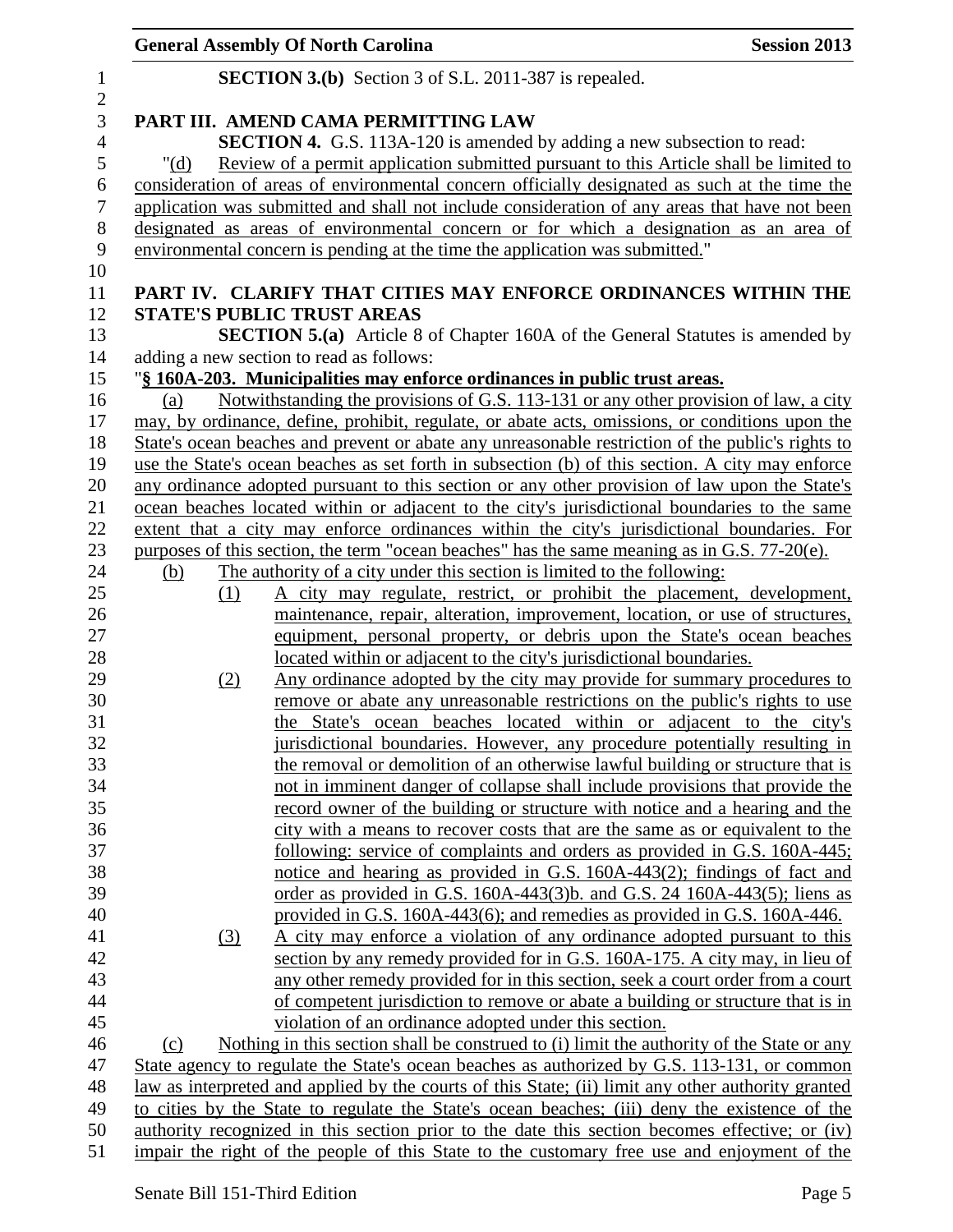|                                | <b>General Assembly Of North Carolina</b> | <b>Session 2013</b>                                                                                                                                   |  |
|--------------------------------|-------------------------------------------|-------------------------------------------------------------------------------------------------------------------------------------------------------|--|
| $\mathbf{1}$<br>$\overline{c}$ |                                           | <b>SECTION 3.(b)</b> Section 3 of S.L. 2011-387 is repealed.                                                                                          |  |
| 3                              |                                           | PART III. AMEND CAMA PERMITTING LAW                                                                                                                   |  |
| $\overline{4}$                 |                                           | <b>SECTION 4.</b> G.S. 113A-120 is amended by adding a new subsection to read:                                                                        |  |
| 5                              | " $(d)$                                   | Review of a permit application submitted pursuant to this Article shall be limited to                                                                 |  |
| 6                              |                                           | consideration of areas of environmental concern officially designated as such at the time the                                                         |  |
| $\tau$                         |                                           | application was submitted and shall not include consideration of any areas that have not been                                                         |  |
| $8\,$                          |                                           | designated as areas of environmental concern or for which a designation as an area of                                                                 |  |
| 9                              |                                           | environmental concern is pending at the time the application was submitted."                                                                          |  |
| 10                             |                                           |                                                                                                                                                       |  |
| 11                             |                                           | PART IV. CLARIFY THAT CITIES MAY ENFORCE ORDINANCES WITHIN THE                                                                                        |  |
| 12                             |                                           | <b>STATE'S PUBLIC TRUST AREAS</b>                                                                                                                     |  |
| 13                             |                                           | <b>SECTION 5.(a)</b> Article 8 of Chapter 160A of the General Statutes is amended by                                                                  |  |
| 14                             |                                           | adding a new section to read as follows:                                                                                                              |  |
| 15                             |                                           | "§ 160A-203. Municipalities may enforce ordinances in public trust areas.                                                                             |  |
| 16                             | (a)                                       | Notwithstanding the provisions of G.S. 113-131 or any other provision of law, a city                                                                  |  |
| 17                             |                                           | may, by ordinance, define, prohibit, regulate, or abate acts, omissions, or conditions upon the                                                       |  |
| 18                             |                                           | State's ocean beaches and prevent or abate any unreasonable restriction of the public's rights to                                                     |  |
| 19                             |                                           | use the State's ocean beaches as set forth in subsection (b) of this section. A city may enforce                                                      |  |
| 20                             |                                           | any ordinance adopted pursuant to this section or any other provision of law upon the State's                                                         |  |
| 21                             |                                           | ocean beaches located within or adjacent to the city's jurisdictional boundaries to the same                                                          |  |
| 22                             |                                           | extent that a city may enforce ordinances within the city's jurisdictional boundaries. For                                                            |  |
| 23                             |                                           | purposes of this section, the term "ocean beaches" has the same meaning as in G.S. 77-20(e).                                                          |  |
| 24                             | <u>(b)</u>                                | The authority of a city under this section is limited to the following:                                                                               |  |
| 25                             | (1)                                       | A city may regulate, restrict, or prohibit the placement, development,                                                                                |  |
| 26                             |                                           | maintenance, repair, alteration, improvement, location, or use of structures,                                                                         |  |
| 27                             |                                           | equipment, personal property, or debris upon the State's ocean beaches                                                                                |  |
| 28                             |                                           | located within or adjacent to the city's jurisdictional boundaries.                                                                                   |  |
| 29                             | (2)                                       | Any ordinance adopted by the city may provide for summary procedures to                                                                               |  |
| 30                             |                                           | remove or abate any unreasonable restrictions on the public's rights to use                                                                           |  |
| 31                             |                                           | the State's ocean beaches located within or adjacent to the city's                                                                                    |  |
| 32                             |                                           | jurisdictional boundaries. However, any procedure potentially resulting in                                                                            |  |
| 33                             |                                           | the removal or demolition of an otherwise lawful building or structure that is                                                                        |  |
| 34                             |                                           | not in imminent danger of collapse shall include provisions that provide the                                                                          |  |
| 35                             |                                           | record owner of the building or structure with notice and a hearing and the                                                                           |  |
| 36<br>37                       |                                           | city with a means to recover costs that are the same as or equivalent to the                                                                          |  |
| 38                             |                                           | following: service of complaints and orders as provided in G.S. 160A-445;<br>notice and hearing as provided in G.S. 160A-443(2); findings of fact and |  |
| 39                             |                                           | order as provided in G.S. $160A-443(3)b$ . and G.S. 24 $160A-443(5)$ ; liens as                                                                       |  |
| 40                             |                                           | provided in G.S. 160A-443(6); and remedies as provided in G.S. 160A-446.                                                                              |  |
| 41                             | (3)                                       | A city may enforce a violation of any ordinance adopted pursuant to this                                                                              |  |
| 42                             |                                           | section by any remedy provided for in G.S. 160A-175. A city may, in lieu of                                                                           |  |
| 43                             |                                           | any other remedy provided for in this section, seek a court order from a court                                                                        |  |
| 44                             |                                           | of competent jurisdiction to remove or abate a building or structure that is in                                                                       |  |
| 45                             |                                           | violation of an ordinance adopted under this section.                                                                                                 |  |
| 46                             | (c)                                       | Nothing in this section shall be construed to (i) limit the authority of the State or any                                                             |  |
| 47                             |                                           | State agency to regulate the State's ocean beaches as authorized by G.S. 113-131, or common                                                           |  |
| 48                             |                                           | law as interpreted and applied by the courts of this State; (ii) limit any other authority granted                                                    |  |
| 49                             |                                           | to cities by the State to regulate the State's ocean beaches; (iii) deny the existence of the                                                         |  |
| 50                             |                                           | authority recognized in this section prior to the date this section becomes effective; or (iv)                                                        |  |
| 51                             |                                           | impair the right of the people of this State to the customary free use and enjoyment of the                                                           |  |